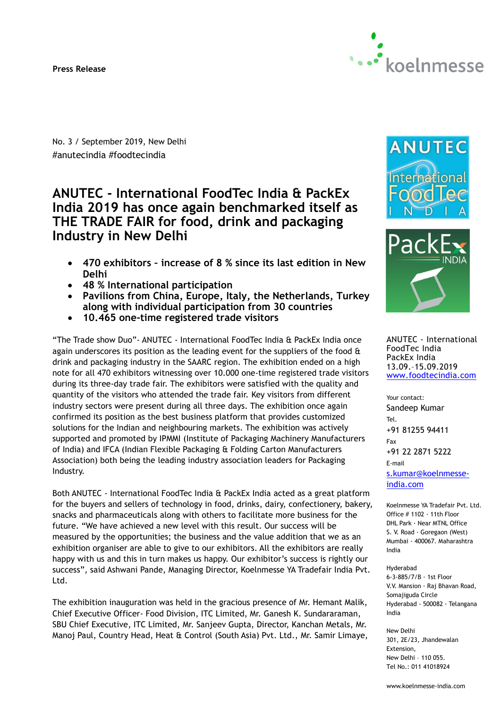#### **Press Release**



No. 3 / September 2019, New Delhi #anutecindia #foodtecindia

# **ANUTEC - International FoodTec India & PackEx India 2019 has once again benchmarked itself as THE TRADE FAIR for food, drink and packaging Industry in New Delhi**

- **470 exhibitors – increase of 8 % since its last edition in New Delhi**
- **48 % International participation**
- **Pavilions from China, Europe, Italy, the Netherlands, Turkey along with individual participation from 30 countries**
- **10.465 one-time registered trade visitors**

"The Trade show Duo"- ANUTEC - International FoodTec India & PackEx India once again underscores its position as the leading event for the suppliers of the food & drink and packaging industry in the SAARC region. The exhibition ended on a high note for all 470 exhibitors witnessing over 10.000 one-time registered trade visitors during its three-day trade fair. The exhibitors were satisfied with the quality and quantity of the visitors who attended the trade fair. Key visitors from different industry sectors were present during all three days. The exhibition once again confirmed its position as the best business platform that provides customized solutions for the Indian and neighbouring markets. The exhibition was actively supported and promoted by IPMMI (Institute of Packaging Machinery Manufacturers of India) and IFCA (Indian Flexible Packaging & Folding Carton Manufacturers Association) both being the leading industry association leaders for Packaging Industry.

Both ANUTEC - International FoodTec India & PackEx India acted as a great platform for the buyers and sellers of technology in food, drinks, dairy, confectionery, bakery, snacks and pharmaceuticals along with others to facilitate more business for the future. "We have achieved a new level with this result. Our success will be measured by the opportunities; the business and the value addition that we as an exhibition organiser are able to give to our exhibitors. All the exhibitors are really happy with us and this in turn makes us happy. Our exhibitor's success is rightly our success", said Ashwani Pande, Managing Director, Koelnmesse YA Tradefair India Pvt. Ltd.

The exhibition inauguration was held in the gracious presence of Mr. Hemant Malik, Chief Executive Officer- Food Division, ITC Limited, Mr. Ganesh K. Sundararaman, SBU Chief Executive, ITC Limited, Mr. Sanjeev Gupta, Director, Kanchan Metals, Mr. Manoj Paul, Country Head, Heat & Control (South Asia) Pvt. Ltd., Mr. Samir Limaye,





ANUTEC - International FoodTec India PackEx India 13.09.–15.09.2019 [www.foodtecindia.com](http://www.foodtecindia.com/)

Your contact: Sandeep Kumar Tel. +91 81255 94411 Fax +91 22 2871 5222 E-mail [s.kumar@koelnmesse](mailto:s.kumar@koelnmesse-india.com)[india.com](mailto:s.kumar@koelnmesse-india.com)

Koelnmesse YA Tradefair Pvt. Ltd. Office # 1102 · 11th Floor DHL Park · Near MTNL Office S. V. Road · Goregaon (West) Mumbai - 400067. Maharashtra India

```
Hyderabad
```
6-3-885/7/B · 1st Floor V.V. Mansion · Raj Bhavan Road, Somajiguda Circle Hyderabad - 500082 · Telangana India

New Delhi 301, 2E/23, Jhandewalan Extension, New Delhi – 110 055. Tel No.: 011 41018924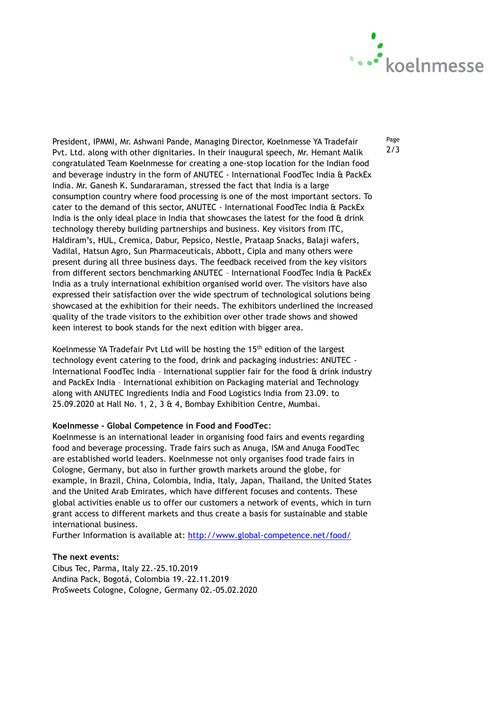

President, IPMMI, Mr. Ashwani Pande, Managing Director, Koelnmesse YA Tradefair Pvt. Ltd. along with other dignitaries. In their inaugural speech, Mr. Hemant Malik congratulated Team Koelnmesse for creating a one-stop location for the Indian food and beverage industry in the form of ANUTEC - International FoodTec India & PackEx India. Mr. Ganesh K. Sundararaman, stressed the fact that India is a large consumption country where food processing is one of the most important sectors. To cater to the demand of this sector, ANUTEC - International FoodTec India & PackEx India is the only ideal place in India that showcases the latest for the food  $\hat{\alpha}$  drink technology thereby building partnerships and business. Key visitors from ITC, Haldiram's, HUL, Cremica, Dabur, Pepsico, Nestle, Prataap Snacks, Balaji wafers, Vadilal, Hatsun Agro, Sun Pharmaceuticals, Abbott, Cipla and many others were present during all three business days. The feedback received from the key visitors from different sectors benchmarking ANUTEC – International FoodTec India & PackEx India as a truly international exhibition organised world over. The visitors have also expressed their satisfaction over the wide spectrum of technological solutions being showcased at the exhibition for their needs. The exhibitors underlined the increased quality of the trade visitors to the exhibition over other trade shows and showed keen interest to book stands for the next edition with bigger area.

Koelnmesse YA Tradefair Pvt Ltd will be hosting the 15<sup>th</sup> edition of the largest technology event catering to the food, drink and packaging industries: ANUTEC - International FoodTec India – International supplier fair for the food & drink industry and PackEx India – International exhibition on Packaging material and Technology along with ANUTEC Ingredients India and Food Logistics India from 23.09. to 25.09.2020 at Hall No. 1, 2, 3 & 4, Bombay Exhibition Centre, Mumbai.

#### **Koelnmesse - Global Competence in Food and FoodTec**:

Koelnmesse is an international leader in organising food fairs and events regarding food and beverage processing. Trade fairs such as Anuga, ISM and Anuga FoodTec are established world leaders. Koelnmesse not only organises food trade fairs in Cologne, Germany, but also in further growth markets around the globe, for example, in Brazil, China, Colombia, India, Italy, Japan, Thailand, the United States and the United Arab Emirates, which have different focuses and contents. These global activities enable us to offer our customers a network of events, which in turn grant access to different markets and thus create a basis for sustainable and stable international business.

Further Information is available at:<http://www.global-competence.net/food/>

#### **The next events:**

Cibus Tec, Parma, Italy 22.-25.10.2019 Andina Pack, Bogotá, Colombia 19.-22.11.2019 ProSweets Cologne, Cologne, Germany 02.-05.02.2020

Page 2/3